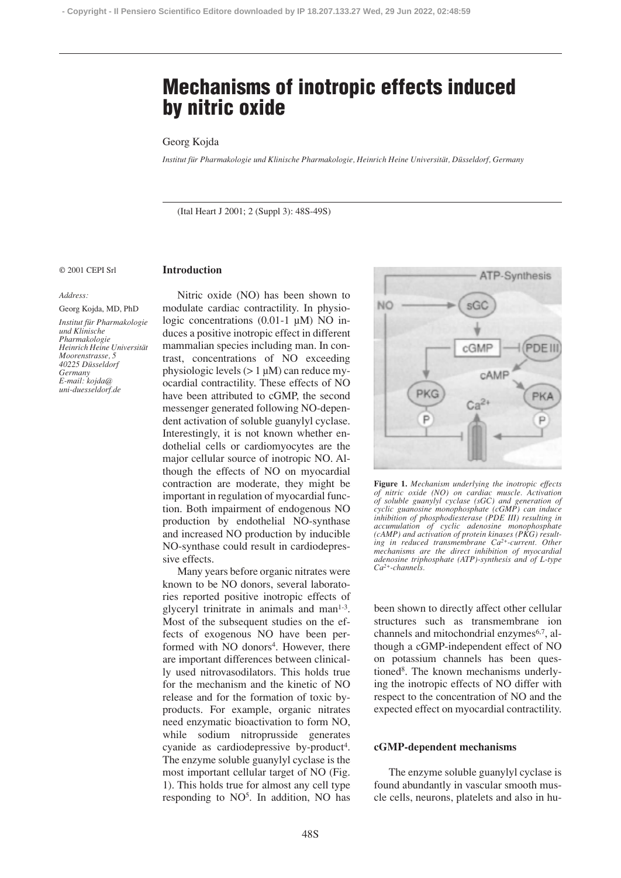# **Mechanisms of inotropic effects induced by nitric oxide**

# Georg Kojda

*Institut für Pharmakologie und Klinische Pharmakologie, Heinrich Heine Universität, Düsseldorf, Germany*

(Ital Heart J 2001; 2 (Suppl 3): 48S-49S)

© 2001 CEPI Srl

## **Introduction**

#### *Address:*

Georg Kojda, MD, PhD

*Institut für Pharmakologie und Klinische Pharmakologie Heinrich Heine Universität Moorenstrasse, 5 40225 Düsseldorf Germany E-mail: kojda@ uni-duesseldorf.de*

Nitric oxide (NO) has been shown to modulate cardiac contractility. In physiologic concentrations (0.01-1 µM) NO induces a positive inotropic effect in different mammalian species including man. In contrast, concentrations of NO exceeding physiologic levels  $(> 1 \mu M)$  can reduce myocardial contractility. These effects of NO have been attributed to cGMP, the second messenger generated following NO-dependent activation of soluble guanylyl cyclase. Interestingly, it is not known whether endothelial cells or cardiomyocytes are the major cellular source of inotropic NO. Although the effects of NO on myocardial contraction are moderate, they might be important in regulation of myocardial function. Both impairment of endogenous NO production by endothelial NO-synthase and increased NO production by inducible NO-synthase could result in cardiodepressive effects.

Many years before organic nitrates were known to be NO donors, several laboratories reported positive inotropic effects of glyceryl trinitrate in animals and man<sup>1-3</sup>. Most of the subsequent studies on the effects of exogenous NO have been performed with NO donors<sup>4</sup>. However, there are important differences between clinically used nitrovasodilators. This holds true for the mechanism and the kinetic of NO release and for the formation of toxic byproducts. For example, organic nitrates need enzymatic bioactivation to form NO, while sodium nitroprusside generates cyanide as cardiodepressive by-product<sup>4</sup>. The enzyme soluble guanylyl cyclase is the most important cellular target of NO (Fig. 1). This holds true for almost any cell type responding to  $NO<sup>5</sup>$ . In addition, NO has



**Figure 1.** *Mechanism underlying the inotropic effects of nitric oxide (NO) on cardiac muscle. Activation of soluble guanylyl cyclase (sGC) and generation of cyclic guanosine monophosphate (cGMP) can induce inhibition of phosphodiesterase (PDE III) resulting in accumulation of cyclic adenosine monophosphate (cAMP) and activation of protein kinases (PKG) resulting in reduced transmembrane Ca2+-current. Other mechanisms are the direct inhibition of myocardial adenosine triphosphate (ATP)-synthesis and of L-type Ca2+-channels.*

been shown to directly affect other cellular structures such as transmembrane ion channels and mitochondrial enzymes<sup>6,7</sup>, although a cGMP-independent effect of NO on potassium channels has been questioned<sup>8</sup>. The known mechanisms underlying the inotropic effects of NO differ with respect to the concentration of NO and the expected effect on myocardial contractility.

## **cGMP-dependent mechanisms**

The enzyme soluble guanylyl cyclase is found abundantly in vascular smooth muscle cells, neurons, platelets and also in hu